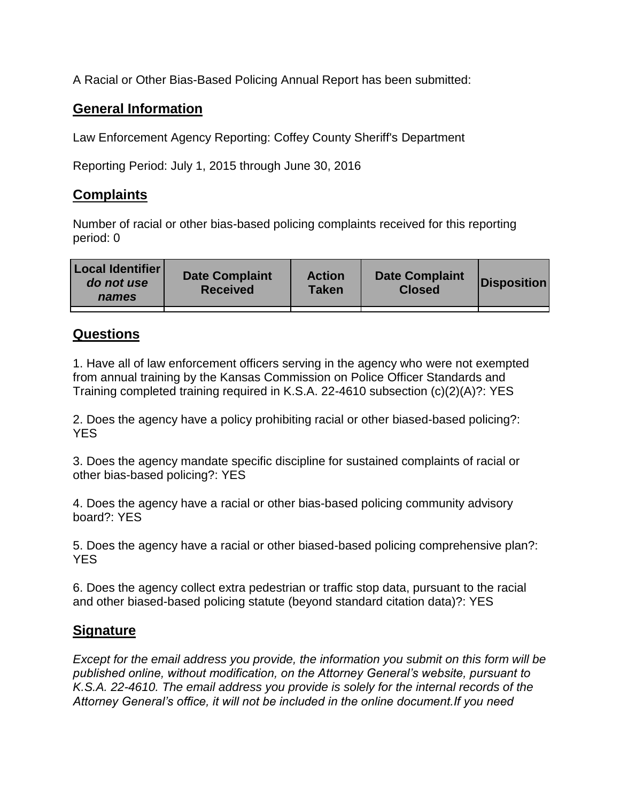A Racial or Other Bias-Based Policing Annual Report has been submitted:

## **General Information**

Law Enforcement Agency Reporting: Coffey County Sheriff's Department

Reporting Period: July 1, 2015 through June 30, 2016

## **Complaints**

Number of racial or other bias-based policing complaints received for this reporting period: 0

| <b>Local Identifier</b><br>do not use<br>names | <b>Date Complaint</b><br><b>Received</b> | <b>Action</b><br><b>Taken</b> | <b>Date Complaint</b><br><b>Closed</b> | Disposition |
|------------------------------------------------|------------------------------------------|-------------------------------|----------------------------------------|-------------|
|                                                |                                          |                               |                                        |             |

## **Questions**

1. Have all of law enforcement officers serving in the agency who were not exempted from annual training by the Kansas Commission on Police Officer Standards and Training completed training required in K.S.A. 22-4610 subsection (c)(2)(A)?: YES

2. Does the agency have a policy prohibiting racial or other biased-based policing?: YES

3. Does the agency mandate specific discipline for sustained complaints of racial or other bias-based policing?: YES

4. Does the agency have a racial or other bias-based policing community advisory board?: YES

5. Does the agency have a racial or other biased-based policing comprehensive plan?: YES

6. Does the agency collect extra pedestrian or traffic stop data, pursuant to the racial and other biased-based policing statute (beyond standard citation data)?: YES

## **Signature**

*Except for the email address you provide, the information you submit on this form will be published online, without modification, on the Attorney General's website, pursuant to K.S.A. 22-4610. The email address you provide is solely for the internal records of the Attorney General's office, it will not be included in the online document.If you need*